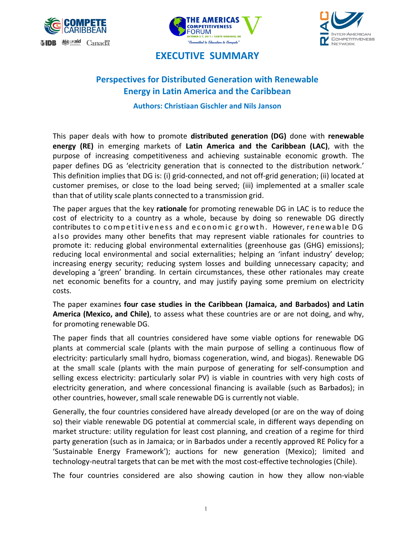





## **EXECUTIVE SUMMARY**

# **Perspectives for Distributed Generation with Renewable Energy in Latin America and the Caribbean**

**Authors: Christiaan Gischler and Nils Janson** 

This paper deals with how to promote **distributed generation (DG)** done with **renewable energy (RE)** in emerging markets of **Latin America and the Caribbean (LAC)**, with the purpose of increasing competitiveness and achieving sustainable economic growth. The paper defines DG as 'electricity generation that is connected to the distribution network.' This definition implies that DG is: (i) grid‐connected, and not off‐grid generation; (ii) located at customer premises, or close to the load being served; (iii) implemented at a smaller scale than that of utility scale plants connected to a transmission grid.

The paper argues that the key **rationale** for promoting renewable DG in LAC is to reduce the cost of electricity to a country as a whole, because by doing so renewable DG directly contributes to competitiveness and economic growth. However, renewable DG also provides many other benefits that may represent viable rationales for countries to promote it: reducing global environmental externalities (greenhouse gas (GHG) emissions); reducing local environmental and social externalities; helping an 'infant industry' develop; increasing energy security; reducing system losses and building unnecessary capacity; and developing a 'green' branding. In certain circumstances, these other rationales may create net economic benefits for a country, and may justify paying some premium on electricity costs.

The paper examines **four case studies in the Caribbean (Jamaica, and Barbados) and Latin America (Mexico, and Chile)**, to assess what these countries are or are not doing, and why, for promoting renewable DG.

The paper finds that all countries considered have some viable options for renewable DG plants at commercial scale (plants with the main purpose of selling a continuous flow of electricity: particularly small hydro, biomass cogeneration, wind, and biogas). Renewable DG at the small scale (plants with the main purpose of generating for self‐consumption and selling excess electricity: particularly solar PV) is viable in countries with very high costs of electricity generation, and where concessional financing is available (such as Barbados); in other countries, however, small scale renewable DG is currently not viable.

Generally, the four countries considered have already developed (or are on the way of doing so) their viable renewable DG potential at commercial scale, in different ways depending on market structure: utility regulation for least cost planning, and creation of a regime for third party generation (such as in Jamaica; or in Barbados under a recently approved RE Policy for a 'Sustainable Energy Framework'); auctions for new generation (Mexico); limited and technology‐neutral targets that can be met with the most cost‐effective technologies (Chile).

The four countries considered are also showing caution in how they allow non‐viable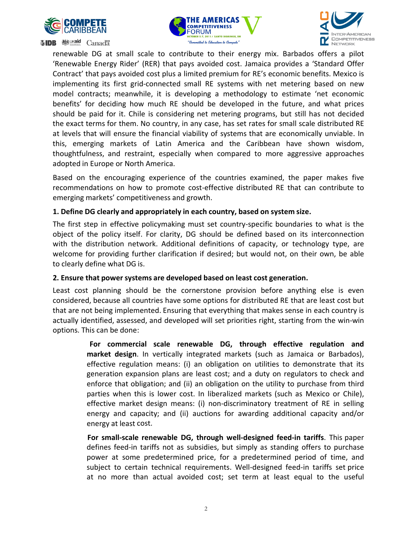





**SIDB 變** Maid Canada

renewable DG at small scale to contribute to their energy mix. Barbados offers a pilot 'Renewable Energy Rider' (RER) that pays avoided cost. Jamaica provides a 'Standard Offer Contract' that pays avoided cost plus a limited premium for RE's economic benefits. Mexico is implementing its first grid‐connected small RE systems with net metering based on new model contracts; meanwhile, it is developing a methodology to estimate 'net economic benefits' for deciding how much RE should be developed in the future, and what prices should be paid for it. Chile is considering net metering programs, but still has not decided the exact terms for them. No country, in any case, has set rates for small scale distributed RE at levels that will ensure the financial viability of systems that are economically unviable. In this, emerging markets of Latin America and the Caribbean have shown wisdom, thoughtfulness, and restraint, especially when compared to more aggressive approaches adopted in Europe or North America.

Based on the encouraging experience of the countries examined, the paper makes five recommendations on how to promote cost‐effective distributed RE that can contribute to emerging markets' competitiveness and growth.

#### **1. Define DG clearly and appropriately in each country, based on system size.**

The first step in effective policymaking must set country‐specific boundaries to what is the object of the policy itself. For clarity, DG should be defined based on its interconnection with the distribution network. Additional definitions of capacity, or technology type, are welcome for providing further clarification if desired; but would not, on their own, be able to clearly define what DG is.

#### **2. Ensure that power systems are developed based on least cost generation.**

Least cost planning should be the cornerstone provision before anything else is even considered, because all countries have some options for distributed RE that are least cost but that are not being implemented. Ensuring that everything that makes sense in each country is actually identified, assessed, and developed will set priorities right, starting from the win‐win options. This can be done:

> **For commercial scale renewable DG, through effective regulation and market design**. In vertically integrated markets (such as Jamaica or Barbados), effective regulation means: (i) an obligation on utilities to demonstrate that its generation expansion plans are least cost; and a duty on regulators to check and enforce that obligation; and (ii) an obligation on the utility to purchase from third parties when this is lower cost. In liberalized markets (such as Mexico or Chile), effective market design means: (i) non‐discriminatory treatment of RE in selling energy and capacity; and (ii) auctions for awarding additional capacity and/or energy at least cost.

> **For small‐scale renewable DG, through well‐designed feed‐in tariffs**. This paper defines feed-in tariffs not as subsidies, but simply as standing offers to purchase power at some predetermined price, for a predetermined period of time, and subject to certain technical requirements. Well‐designed feed‐in tariffs set price at no more than actual avoided cost; set term at least equal to the useful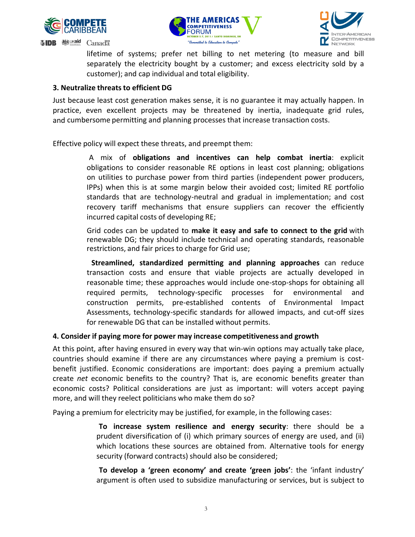

**SIDB** 戀





lifetime of systems; prefer net billing to net metering (to measure and bill separately the electricity bought by a customer; and excess electricity sold by a customer); and cap individual and total eligibility.

### **3. Neutralize threatsto efficient DG**

**Canadä** 

Just because least cost generation makes sense, it is no guarantee it may actually happen. In practice, even excellent projects may be threatened by inertia, inadequate grid rules, and cumbersome permitting and planning processes that increase transaction costs.

Effective policy will expect these threats, and preempt them:

 A mix of **obligations and incentives can help combat inertia**: explicit obligations to consider reasonable RE options in least cost planning; obligations on utilities to purchase power from third parties (independent power producers, IPPs) when this is at some margin below their avoided cost; limited RE portfolio standards that are technology‐neutral and gradual in implementation; and cost recovery tariff mechanisms that ensure suppliers can recover the efficiently incurred capital costs of developing RE;

 Grid codes can be updated to **make it easy and safe to connect to the grid** with renewable DG; they should include technical and operating standards, reasonable restrictions, and fair prices to charge for Grid use;

 **Streamlined, standardized permitting and planning approaches** can reduce transaction costs and ensure that viable projects are actually developed in reasonable time; these approaches would include one‐stop‐shops for obtaining all required permits, technology-specific processes for environmental and construction permits, pre‐established contents of Environmental Impact Assessments, technology‐specific standards for allowed impacts, and cut‐off sizes for renewable DG that can be installed without permits.

#### **4. Consider if paying more for power may increase competitiveness and growth**

At this point, after having ensured in every way that win-win options may actually take place, countries should examine if there are any circumstances where paying a premium is cost‐ benefit justified. Economic considerations are important: does paying a premium actually create *net* economic benefits to the country? That is, are economic benefits greater than economic costs? Political considerations are just as important: will voters accept paying more, and will they reelect politicians who make them do so?

Paying a premium for electricity may be justified, for example, in the following cases:

 **To increase system resilience and energy security**: there should be a prudent diversification of (i) which primary sources of energy are used, and (ii) which locations these sources are obtained from. Alternative tools for energy security (forward contracts) should also be considered;

 **To develop a 'green economy' and create 'green jobs'**: the 'infant industry' argument is often used to subsidize manufacturing or services, but is subject to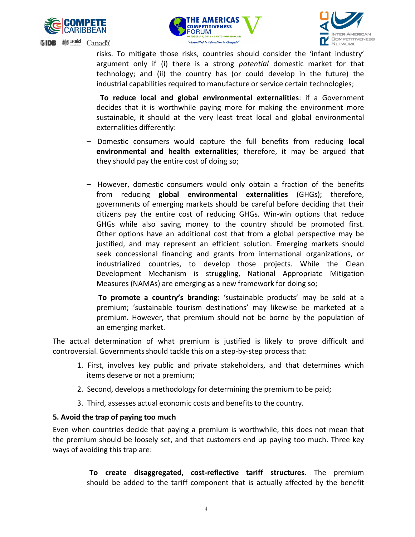





risks. To mitigate those risks, countries should consider the 'infant industry' argument only if (i) there is a strong *potential* domestic market for that technology; and (ii) the country has (or could develop in the future) the industrial capabilities required to manufacture or service certain technologies;

 **To reduce local and global environmental externalities**: if a Government decides that it is worthwhile paying more for making the environment more sustainable, it should at the very least treat local and global environmental externalities differently:

- Domestic consumers would capture the full benefits from reducing **local environmental and health externalities**; therefore, it may be argued that they should pay the entire cost of doing so;
- However, domestic consumers would only obtain a fraction of the benefits from reducing **global environmental externalities** (GHGs); therefore, governments of emerging markets should be careful before deciding that their citizens pay the entire cost of reducing GHGs. Win‐win options that reduce GHGs while also saving money to the country should be promoted first. Other options have an additional cost that from a global perspective may be justified, and may represent an efficient solution. Emerging markets should seek concessional financing and grants from international organizations, or industrialized countries, to develop those projects. While the Clean Development Mechanism is struggling, National Appropriate Mitigation Measures (NAMAs) are emerging as a new framework for doing so;

 **To promote a country's branding**: 'sustainable products' may be sold at a premium; 'sustainable tourism destinations' may likewise be marketed at a premium. However, that premium should not be borne by the population of an emerging market.

The actual determination of what premium is justified is likely to prove difficult and controversial. Governments should tackle this on a step-by-step process that:

- 1. First, involves key public and private stakeholders, and that determines which items deserve or not a premium;
- 2. Second, develops a methodology for determining the premium to be paid;
- 3. Third, assesses actual economic costs and benefits to the country.

#### **5. Avoid the trap of paying too much**

Even when countries decide that paying a premium is worthwhile, this does not mean that the premium should be loosely set, and that customers end up paying too much. Three key ways of avoiding this trap are:

> **To create disaggregated, cost‐reflective tariff structures**. The premium should be added to the tariff component that is actually affected by the benefit